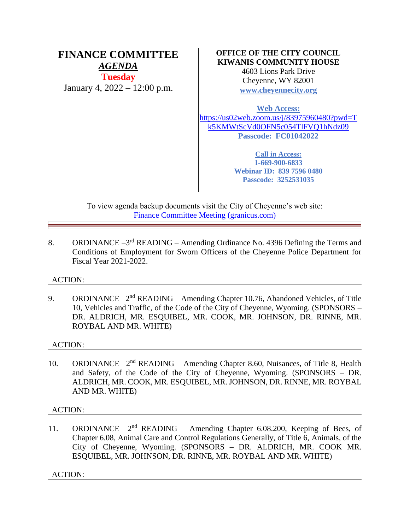# **FINANCE COMMITTEE** *AGENDA* **Tuesday** January 4, 2022 – 12:00 p.m.

# **OFFICE OF THE CITY COUNCIL KIWANIS COMMUNITY HOUSE**

4603 Lions Park Drive Cheyenne, WY 82001 **[www.cheyennecity.org](http://www.cheyennecity.org/)**

**Web Access:**

[https://us02web.zoom.us/j/83975960480?pwd=T](https://us02web.zoom.us/j/83975960480?pwd=Tk5KMWtScVd0OFN5c054TlFVQ1hNdz09) [k5KMWtScVd0OFN5c054TlFVQ1hNdz09](https://us02web.zoom.us/j/83975960480?pwd=Tk5KMWtScVd0OFN5c054TlFVQ1hNdz09) **Passcode: FC01042022**

> **Call in Access: 1-669-900-6833 Webinar ID: 839 7596 0480 Passcode: 3252531035**

To view agenda backup documents visit the City of Cheyenne's web site: [Finance Committee Meeting \(granicus.com\)](https://cheyenne.granicus.com/GeneratedAgendaViewer.php?event_id=1039)

8. ORDINANCE  $-3^{rd}$  READING – Amending Ordinance No. 4396 Defining the Terms and Conditions of Employment for Sworn Officers of the Cheyenne Police Department for Fiscal Year 2021-2022.

# ACTION:

9. ORDINANCE  $-2<sup>nd</sup>$  READING – Amending Chapter 10.76, Abandoned Vehicles, of Title 10, Vehicles and Traffic, of the Code of the City of Cheyenne, Wyoming. (SPONSORS – DR. ALDRICH, MR. ESQUIBEL, MR. COOK, MR. JOHNSON, DR. RINNE, MR. ROYBAL AND MR. WHITE)

# ACTION:

10. ORDINANCE -2<sup>nd</sup> READING - Amending Chapter 8.60, Nuisances, of Title 8, Health and Safety, of the Code of the City of Cheyenne, Wyoming. (SPONSORS – DR. ALDRICH, MR. COOK, MR. ESQUIBEL, MR. JOHNSON, DR. RINNE, MR. ROYBAL AND MR. WHITE)

# ACTION:

11. ORDINANCE -2<sup>nd</sup> READING - Amending Chapter 6.08.200, Keeping of Bees, of Chapter 6.08, Animal Care and Control Regulations Generally, of Title 6, Animals, of the City of Cheyenne, Wyoming. (SPONSORS – DR. ALDRICH, MR. COOK MR. ESQUIBEL, MR. JOHNSON, DR. RINNE, MR. ROYBAL AND MR. WHITE)

ACTION: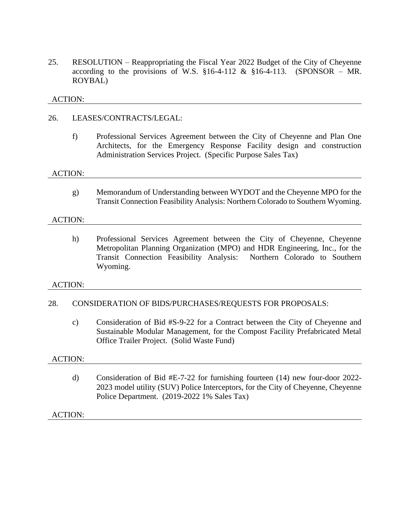25. RESOLUTION – Reappropriating the Fiscal Year 2022 Budget of the City of Cheyenne according to the provisions of W.S.  $\S16-4-112 \& \S16-4-113$ . (SPONSOR – MR. ROYBAL)

### ACTION:

### 26. LEASES/CONTRACTS/LEGAL:

f) Professional Services Agreement between the City of Cheyenne and Plan One Architects, for the Emergency Response Facility design and construction Administration Services Project. (Specific Purpose Sales Tax)

#### ACTION:

g) Memorandum of Understanding between WYDOT and the Cheyenne MPO for the Transit Connection Feasibility Analysis: Northern Colorado to Southern Wyoming.

#### ACTION:

h) Professional Services Agreement between the City of Cheyenne, Cheyenne Metropolitan Planning Organization (MPO) and HDR Engineering, Inc., for the Transit Connection Feasibility Analysis: Northern Colorado to Southern Wyoming.

#### ACTION:

# 28. CONSIDERATION OF BIDS/PURCHASES/REQUESTS FOR PROPOSALS:

c) Consideration of Bid #S-9-22 for a Contract between the City of Cheyenne and Sustainable Modular Management, for the Compost Facility Prefabricated Metal Office Trailer Project. (Solid Waste Fund)

#### ACTION:

d) Consideration of Bid #E-7-22 for furnishing fourteen (14) new four-door 2022- 2023 model utility (SUV) Police Interceptors, for the City of Cheyenne, Cheyenne Police Department. (2019-2022 1% Sales Tax)

ACTION: